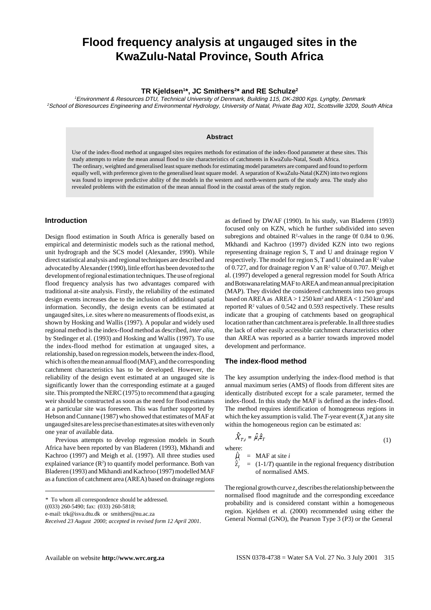# **Flood frequency analysis at ungauged sites in the KwaZulu-Natal Province, South Africa**

#### **TR Kjeldsen1 \*, JC Smithers2 \* and RE Schulze2**

<sup>1</sup>Environment & Resources DTU, Technical University of Denmark, Building 115, DK-2800 Kgs. Lyngby, Denmark <sup>2</sup>School of Bioresources Engineering and Environmental Hydrology, University of Natal, Private Bag X01, Scottsville 3209, South Africa

#### **Abstract**

Use of the index-flood method at ungauged sites requires methods for estimation of the index-flood parameter at these sites. This study attempts to relate the mean annual flood to site characteristics of catchments in KwaZulu-Natal, South Africa. The ordinary, weighted and generalised least square methods for estimating model parameters are compared and found to perform equally well, with preference given to the generalised least square model. A separation of KwaZulu-Natal (KZN) into two regions was found to improve predictive ability of the models in the western and north-western parts of the study area. The study also revealed problems with the estimation of the mean annual flood in the coastal areas of the study region.

# **Introduction**

Design flood estimation in South Africa is generally based on empirical and deterministic models such as the rational method, unit hydrograph and the SCS model (Alexander, 1990). While direct statistical analysis and regional techniques are described and advocated by Alexander (1990), little effort has been devoted to the development of regional estimation techniques. The use of regional flood frequency analysis has two advantages compared with traditional at-site analysis. Firstly, the reliability of the estimated design events increases due to the inclusion of additional spatial information. Secondly, the design events can be estimated at ungauged sites, i.e. sites where no measurements of floods exist, as shown by Hosking and Wallis (1997). A popular and widely used regional method is the index-flood method as described, *inter alia*, by Stedinger et al. (1993) and Hosking and Wallis (1997). To use the index-flood method for estimation at ungauged sites, a relationship, based on regression models, between the index-flood, which is often the mean annual flood (MAF), and the corresponding catchment characteristics has to be developed. However, the reliability of the design event estimated at an ungauged site is significantly lower than the corresponding estimate at a gauged site. This prompted the NERC (1975) to recommend that a gauging weir should be constructed as soon as the need for flood estimates at a particular site was foreseen. This was further supported by Hebson and Cunnane (1987) who showed that estimates of MAF at ungauged sites are less precise than estimates at sites with even only one year of available data.

Previous attempts to develop regression models in South Africa have been reported by van Bladeren (1993), Mkhandi and Kachroo (1997) and Meigh et al. (1997). All three studies used explained variance  $(R^2)$  to quantify model performance. Both van Bladeren (1993) and Mkhandi and Kachroo (1997) modelled MAF as a function of catchment area (AREA) based on drainage regions

*\** To whom all correspondence should be addressed.

((033) 260-5490; fax: (033) 260-5818;

e-mail: trk@isva.dtu.dk or smithers@nu.ac.za

as defined by DWAF (1990). In his study, van Bladeren (1993) focused only on KZN, which he further subdivided into seven subregions and obtained  $\mathbb{R}^2$ -values in the range 0f 0.84 to 0.96. Mkhandi and Kachroo (1997) divided KZN into two regions representing drainage region S, T and U and drainage region V respectively. The model for region S, T and U obtained an  $\mathbb{R}^2$  value of 0.727, and for drainage region V an  $\mathbb{R}^2$  value of 0.707. Meigh et al. (1997) developed a general regression model for South Africa and Botswana relating MAF to AREA and mean annual precipitation (MAP). They divided the considered catchments into two groups based on AREA as  $\rm{AREA} > 1\,250\,km^2$  and  $\rm{AREA} < 1\,250\,km^2$  and reported  $\mathbb{R}^2$  values of 0.542 and 0.593 respectively. These results indicate that a grouping of catchments based on geographical location rather than catchment area is preferable. In all three studies the lack of other easily accessible catchment characteristics other than AREA was reported as a barrier towards improved model development and performance.

#### **The index-flood method**

The key assumption underlying the index-flood method is that annual maximum series (AMS) of floods from different sites are identically distributed except for a scale parameter, termed the index-flood. In this study the MAF is defined as the index-flood. The method requires identification of homogeneous regions in which the key assumption is valid. The *T*-year event  $(X_{\tau})$  at any site within the homogeneous region can be estimated as:

$$
\hat{X}_{T,i} = \hat{\mu}_i \hat{z}_T
$$
 where:

 $=$  MAF at site *i* ^

 $\bar{a} = (1-1/T)$  quantile in the regional frequency distribution of normalised AMS.  $\frac{1}{7}$ 

(1)

The regional growth curve  $z<sub>T</sub>$  describes the relationship between the normalised flood magnitude and the corresponding exceedance probability and is considered constant within a homogeneous region. Kjeldsen et al. (2000) recommended using either the General Normal (GNO), the Pearson Type 3 (P3) or the General

*Received 23 August 2000; accepted in revised form 12 April 2001*.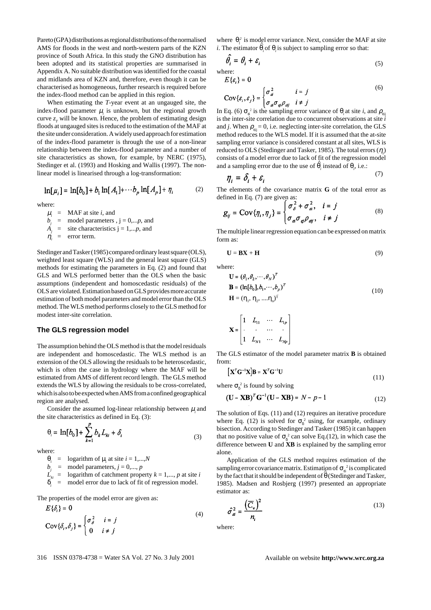Pareto (GPA) distributions as regional distributions of the normalised AMS for floods in the west and north-western parts of the KZN province of South Africa. In this study the GNO distribution has been adopted and its statistical properties are summarised in Appendix A. No suitable distribution was identified for the coastal and midlands area of KZN and, therefore, even though it can be characterised as homogeneous, further research is required before the index-flood method can be applied in this region.

When estimating the *T*-year event at an ungauged site, the index-flood parameter  $\mu$ <sub>i</sub> is unknown, but the regional growth curve  $z<sub>r</sub>$  will be known. Hence, the problem of estimating design floods at ungauged sites is reduced to the estimation of the MAF at the site under consideration. A widely used approach for estimation of the index-flood parameter is through the use of a non-linear relationship between the index-flood parameter and a number of site characteristics as shown, for example, by NERC (1975), Stedinger et al. (1993) and Hosking and Wallis (1997). The nonlinear model is linearised through a log-transformation:

$$
\ln[\mu_i] = \ln[b_0] + b_1 \ln[A_1] + \cdots + b_p \ln[A_p] + \eta_i \tag{2}
$$

where:

 $\mu = \text{MAF}$  at site *i*, and

- $b_i$  = model parameters ,  $j = 0,...p$ , and
- $\overrightarrow{A}_i$  = site characteristics  $j = 1,...p$ , and
- $\eta_i$  = error term.

Stedinger and Tasker (1985) compared ordinary least square (OLS), weighted least square (WLS) and the general least square (GLS) methods for estimating the parameters in Eq. (2) and found that GLS and WLS performed better than the OLS when the basic assumptions (independent and homoscedastic residuals) of the OLS are violated. Estimation based on GLS provides more accurate estimation of both model parameters and model error than the OLS method. The WLS method performs closely to the GLS method for modest inter-site correlation.

# **The GLS regression model**

The assumption behind the OLS method is that the model residuals are independent and homoscedastic. The WLS method is an extension of the OLS allowing the residuals to be heteroscedastic, which is often the case in hydrology where the MAF will be estimated from AMS of different record length. The GLS method extends the WLS by allowing the residuals to be cross-correlated, which is also to be expected when AMS from a confined geographical region are analysed.

Consider the assumed log-linear relationship between  $\mu$  and the site characteristics as defined in Eq. (3):

$$
\Theta_i = \ln[b_0] + \sum_{k=1}^{r} b_k L_{ki} + \delta_i
$$
 (3)

where:

 $\theta_i$  = logarithm of  $\mu_i$  at site *i* = 1,...,*N*<br>*b*. = model parameters, *j* = 0,..., *p* 

 $\overline{p}$ 

- model parameters,  $j = 0, \ldots, p$
- $L_{ki}$  = logarithm of catchment property  $k = 1,..., p$  at site *i*  $\delta$ . = model error due to lack of fit of regression model.
- model error due to lack of fit of regression model.

The properties of the model error are given as:

$$
E\{\delta_i\} = 0
$$
  
\n
$$
Cov\{\delta_i, \delta_j\} = \begin{cases} \sigma_{\delta}^2 & i = j \\ 0 & i \neq j \end{cases}
$$
\n(4)

where 
$$
\theta_i^2
$$
 is model error variance. Next, consider the MAF at site *i*. The estimator  $\theta_i$  of  $\theta_i$  is subject to sampling error so that:

$$
\hat{\theta_i} = \theta_i + \varepsilon_i \tag{5}
$$

where:  $E\{\varepsilon_i\}=0$ 

$$
Cov{\varepsilon_i, \varepsilon_j} = \begin{cases} \sigma_a^2 & i = j \\ \sigma_a \sigma_{\sigma} \rho_{\varepsilon i} & i \neq j \end{cases}
$$
 (6)

In Eq. (6)  $\sigma_{\rm ei}^2$  is the sampling error variance of  $\theta_i$  at site *i*, and  $\rho_{\rm ej}$ is the inter-site correlation due to concurrent observations at site *i* and *j*. When  $\rho_{\text{si}} = 0$ , i.e. neglecting inter-site correlation, the GLS method reduces to the WLS model. If it is assumed that the at-site sampling error variance is considered constant at all sites, WLS is reduced to OLS (Stedinger and Tasker, 1985). The total errors  $(\eta_{\scriptscriptstyle\beta}^{\phantom{\dagger}})$ consists of a model error due to lack of fit of the regression model and a sampling error due to the use of  $\theta_i$  instead of  $\theta_p$ , i.e.:

$$
\eta_i = \delta_i + \varepsilon_i \tag{7}
$$

The elements of the covariance matrix **G** of the total error as defined in Eq. (7) are given as:

$$
g_{ij} = \text{Cov}\{\eta_i, \eta_j\} = \begin{cases} \sigma_{\delta}^2 + \sigma_{\delta}^2, & i = j \\ \sigma_{\delta} \sigma_{\delta} \rho_{\delta j}, & i \neq j \end{cases}
$$
 (8)

The multiple linear regression equation can be expressed on matrix form as:

$$
\mathbf{U} = \mathbf{B}\mathbf{X} + \mathbf{H} \tag{9}
$$

where:  $\sim$ 

$$
\mathbf{U} = (\theta_1, \theta_2, \cdots, \theta_N)^T
$$
  
\n
$$
\mathbf{B} = (\ln[b_0], b_1, \cdots, b_p)^T
$$
  
\n
$$
\mathbf{H} = (\eta_1, \eta_2, \dots, \eta_n)^T
$$
\n(10)

$$
\mathbf{X} = \begin{bmatrix} 1 & L_{11} & \cdots & L_{1p} \\ \cdot & \cdot & \cdots & \cdot \\ 1 & L_{N1} & \cdots & L_{Np} \end{bmatrix}
$$

The GLS estimator of the model parameter matrix **B** is obtained from:

$$
\left[\mathbf{X}^T\mathbf{G}^{-1}\mathbf{X}\right]\mathbf{B} = \mathbf{X}^T\mathbf{G}^{-1}\mathbf{U}
$$
\n(11)

where  $\sigma_{\delta}^2$  is found by solving

$$
(\mathbf{U} - \mathbf{X}\mathbf{B})^T \mathbf{G}^{-1} (\mathbf{U} - \mathbf{X}\mathbf{B}) = N - p - 1 \tag{12}
$$

The solution of Eqs. (11) and (12) requires an iterative procedure where Eq. (12) is solved for  $\sigma_{\delta}^2$  using, for example, ordinary bisection. According to Stedinger and Tasker (1985) it can happen that no positive value of  $\sigma_{\delta}^2$  can solve Eq.(12), in which case the difference between **U** and **XB** is explained by the sampling error alone.

Application of the GLS method requires estimation of the sampling error covariance matrix. Estimation of  $\sigma_{\rm ei}^{-2}$  is complicated by the fact that it should be independent of  $\theta$  (Stedinger and Tasker, 1985). Madsen and Rosbjerg (1997) presented an appropriate estimator as:

$$
\hat{\sigma}_{\mathfrak{a}}^2 = \frac{\left(\overline{C}_v\right)^2}{n_i} \tag{13}
$$

where:

#### 316 ISSN 0378-4738 = Water SA Vol. 27 No. 3 July 2001 Available on website **http://www.wrc.org.za**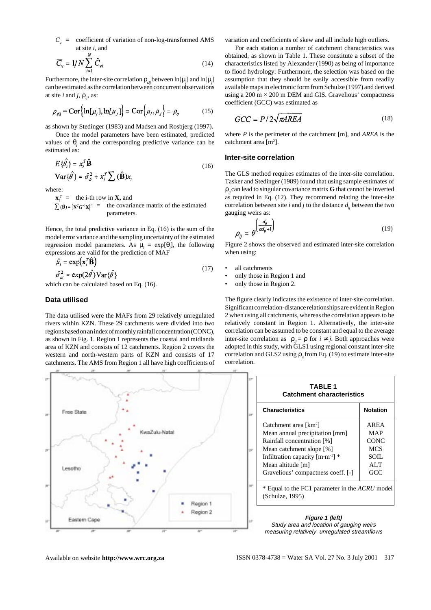$C_v$  = coefficient of variation of non-log-transformed AMS at site *i,* and

$$
\overline{C}_{\mathbf{v}} = 1/N \sum_{i=1}^{N} \hat{C}_{\mathbf{vi}} \tag{14}
$$

Furthermore, the inter-site correlation  $\rho_{\epsilon ij}$  between  $\ln[\mu_j]$  and  $\ln[\mu_j]$ can be estimated as the correlation between concurrent observations at site *i* and *j*,  $\rho_{ii}$ , as:

$$
\rho_{\rm aj} = \text{Cor}\left\{\ln[\mu_i], \ln[\mu_j]\right\} = \text{Cor}\left\{\mu_i, \mu_j\right\} = \rho_{ij} \tag{15}
$$

as shown by Stedinger (1983) and Madsen and Rosbjerg (1997).

Once the model parameters have been estimated, predicted values of  $\theta$ <sub>i</sub> and the corresponding predictive variance can be estimated as:

$$
E\{\hat{\theta_i}\} = x_i^T \hat{\mathbf{B}}
$$
  
Var $\{\hat{\theta}\} = \hat{\sigma}_s^2 + x_i^T \sum (\hat{\mathbf{B}}) x_i$  (16)

where:

 $\mathbf{x}_i^T = \text{ the } i\text{-th row in } \mathbf{X} \text{, and}$  $\sum (\hat{\mathbf{B}}) = [\mathbf{X}^T \mathbf{G}^{-1} \mathbf{X}]^{-1}$  = the covariance matrix of the estimated parameters.

Hence, the total predictive variance in Eq. (16) is the sum of the model error variance and the sampling uncertainty of the estimated regression model parameters. As  $\mu_i = \exp[\theta_i]$ , the following expressions are valid for the prediction of MAF

$$
\hat{\mu}_i = \exp(\mathbf{x}_i' \mathbf{B})
$$
  
\n
$$
\hat{\sigma}_{\mu i}^2 = \exp(2\hat{\theta}) \text{Var}\{\hat{\theta}\}\
$$
\n(17)

which can be calculated based on Eq. (16).

# **Data utilised**

The data utilised were the MAFs from 29 relatively unregulated rivers within KZN. These 29 catchments were divided into two regions based on an index of monthly rainfall concentration (CONC), as shown in Fig. 1. Region 1 represents the coastal and midlands area of KZN and consists of 12 catchments. Region 2 covers the western and north-western parts of KZN and consists of 17 catchments. The AMS from Region 1 all have high coefficients of variation and coefficients of skew and all include high outliers.

For each station a number of catchment characteristics was obtained, as shown in Table 1. These constitute a subset of the characteristics listed by Alexander (1990) as being of importance to flood hydrology. Furthermore, the selection was based on the assumption that they should be easily accessible from readily available maps in electronic form from Schulze (1997) and derived using a  $200 \text{ m} \times 200 \text{ m}$  DEM and GIS. Gravelious' compactness coefficient (GCC) was estimated as

$$
GCC = P / 2\sqrt{\pi AREA}
$$
 (18)

where *P* is the perimeter of the catchment [m], and *AREA* is the catchment area [m<sup>2</sup>].

#### **Inter-site correlation**

The GLS method requires estimates of the inter-site correlation. Tasker and Stedinger (1989) found that using sample estimates of ρ*ij* can lead to singular covariance matrix **G** that cannot be inverted as required in Eq. (12). They recommend relating the inter-site correlation between site  $i$  and  $j$  to the distance  $d_i$  between the two gauging weirs as:

$$
O_{ij} = \theta^{\left(\frac{d_{ij}}{ad_{ij} + 1}\right)}\tag{19}
$$

Figure 2 shows the observed and estimated inter-site correlation when using:

- all catchments
- only those in Region 1 and
- only those in Region 2.

The figure clearly indicates the existence of inter-site correlation. Significant correlation-distance relationships are evident in Region 2 when using all catchments, whereas the correlation appears to be relatively constant in Region 1. Alternatively, the inter-site correlation can be assumed to be constant and equal to the average inter-site correlation as  $\rho_i = \overline{\rho}$  for  $i \neq j$ . Both approaches were adopted in this study, with GLS1 using regional constant inter-site correlation and GLS2 using ρ<sub>*ij*</sub> from Eq. (19) to estimate inter-site correlation.



| <b>TABLE 1</b><br><b>Catchment characteristics</b> |                 |  |  |
|----------------------------------------------------|-----------------|--|--|
| <b>Characteristics</b>                             | <b>Notation</b> |  |  |
| Catchment area [km <sup>2</sup> ]                  | AREA            |  |  |
| Mean annual precipitation [mm]                     | MAP             |  |  |
| Rainfall concentration [%]                         | CONC            |  |  |
| Mean catchment slope [%]                           | <b>MCS</b>      |  |  |
| Infiltration capacity $[m \cdot m^{-1}]$ *         | <b>SOIL</b>     |  |  |
| Mean altitude [m]                                  | ALT             |  |  |
| Gravelious' compactness coeff. [-]                 | GCC             |  |  |
| * Equal to the FC1 parameter in the ACRU model     |                 |  |  |
| (Schulze, 1995)                                    |                 |  |  |

#### **Figure 1 (left)** Study area and location of gauging weirs measuring relatively unregulated streamflows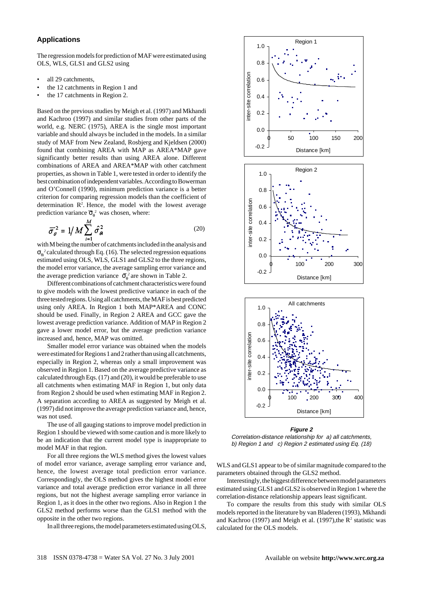### **Applications**

The regression models for prediction of MAF were estimated using OLS, WLS, GLS1 and GLS2 using

- all 29 catchments,
- the 12 catchments in Region 1 and
- the 17 catchments in Region 2.

Based on the previous studies by Meigh et al. (1997) and Mkhandi and Kachroo (1997) and similar studies from other parts of the world, e.g. NERC (1975), AREA is the single most important variable and should always be included in the models. In a similar study of MAF from New Zealand, Rosbjerg and Kjeldsen (2000) found that combining AREA with MAP as AREA\*MAP gave significantly better results than using AREA alone. Different combinations of AREA and AREA\*MAP with other catchment properties, as shown in Table 1, were tested in order to identify the best combination of independent variables. According to Bowerman and O'Connell (1990), minimum prediction variance is a better criterion for comparing regression models than the coefficient of determination R<sup>2</sup>. Hence, the model with the lowest average prediction variance  $\overline{\sigma}_{\theta}^2$  was chosen, where:

$$
\overline{\sigma}_{\theta}^2 = 1/M \sum_{i=1}^M \hat{\sigma}_{\theta}^2
$$
 (20)

with M being the number of catchments included in the analysis and  $\sigma_{\theta i}^2$  calculated through Eq. (16). The selected regression equations estimated using OLS, WLS, GLS1 and GLS2 to the three regions, the model error variance, the average sampling error variance and the average prediction variance  $\bar{\sigma}_\theta^2$  are shown in Table 2.

Different combinations of catchment characteristics were found to give models with the lowest predictive variance in each of the three tested regions. Using all catchments, the MAF is best predicted using only AREA. In Region 1 both MAP\*AREA and CONC should be used. Finally, in Region 2 AREA and GCC gave the lowest average prediction variance. Addition of MAP in Region 2 gave a lower model error, but the average prediction variance increased and, hence, MAP was omitted.

Smaller model error variance was obtained when the models were estimated for Regions 1 and 2 rather than using all catchments, especially in Region 2, whereas only a small improvement was observed in Region 1. Based on the average predictive variance as calculated through Eqs. (17) and (20), it would be preferable to use all catchments when estimating MAF in Region 1, but only data from Region 2 should be used when estimating MAF in Region 2. A separation according to AREA as suggested by Meigh et al. (1997) did not improve the average prediction variance and, hence, was not used.

The use of all gauging stations to improve model prediction in Region 1 should be viewed with some caution and is more likely to be an indication that the current model type is inappropriate to model MAF in that region.

For all three regions the WLS method gives the lowest values of model error variance, average sampling error variance and, hence, the lowest average total prediction error variance. Correspondingly, the OLS method gives the highest model error variance and total average prediction error variance in all three regions, but not the highest average sampling error variance in Region 1, as it does in the other two regions. Also in Region 1 the GLS2 method performs worse than the GLS1 method with the opposite in the other two regions.

In all three regions, the model parameters estimated using OLS,





**Figure 2** Correlation-distance relationship for a) all catchments, b) Region 1 and c) Region 2 estimated using Eq. (18)

WLS and GLS1 appear to be of similar magnitude compared to the parameters obtained through the GLS2 method.

Interestingly, the biggest difference between model parameters estimated using GLS1 and GLS2 is observed in Region 1 where the correlation-distance relationship appears least significant.

To compare the results from this study with similar OLS models reported in the literature by van Bladeren (1993), Mkhandi and Kachroo (1997) and Meigh et al. (1997), the  $R<sup>2</sup>$  statistic was calculated for the OLS models.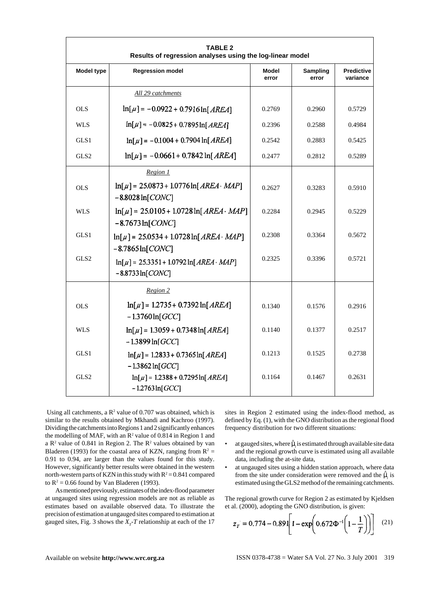|                   | <b>TABLE 2</b><br>Results of regression analyses using the log-linear model |                       |                          |                               |  |  |
|-------------------|-----------------------------------------------------------------------------|-----------------------|--------------------------|-------------------------------|--|--|
| <b>Model type</b> | <b>Regression model</b>                                                     | <b>Model</b><br>error | <b>Sampling</b><br>error | <b>Predictive</b><br>variance |  |  |
|                   | All 29 catchments                                                           |                       |                          |                               |  |  |
| <b>OLS</b>        | $\ln[\mu]$ = -0.0922 + 0.7916 $\ln[AREA]$                                   | 0.2769                | 0.2960                   | 0.5729                        |  |  |
| WLS.              | $\ln[\mu]$ = -0.0825 + 0.7895 $\ln[AREA]$                                   | 0.2396                | 0.2588                   | 0.4984                        |  |  |
| GLS1              | $\ln[\mu] = -0.1004 + 0.7904 \ln[AREA]$                                     | 0.2542                | 0.2883                   | 0.5425                        |  |  |
| GLS2              | $\ln[\mu] = -0.0661 + 0.7842 \ln[AREA]$                                     | 0.2477                | 0.2812                   | 0.5289                        |  |  |
|                   | Region 1                                                                    |                       |                          |                               |  |  |
| <b>OLS</b>        | $\ln[\mu]$ = 25.0873 + 1.0776 $\ln[AREA \cdot MAP]$<br>$-8.8028$ ln[CONC]   | 0.2627                | 0.3283                   | 0.5910                        |  |  |
| <b>WLS</b>        | $\ln[\mu]$ = 25.0105 + 1.0728 $\ln[AREA \cdot MAP]$<br>$-8.7673 \ln [CONC]$ | 0.2284                | 0.2945                   | 0.5229                        |  |  |
| GLS1              | $\ln[\mu]$ = 25.0534 + 1.0728 $\ln[AREA \cdot MAP]$<br>$-8.7865 \ln [CONC]$ | 0.2308                | 0.3364                   | 0.5672                        |  |  |
| GLS <sub>2</sub>  | $\ln[\mu]$ = 25.3351+1.0792 $\ln[AREA \cdot MAP]$<br>$-8.8733 \ln [CONC]$   | 0.2325                | 0.3396                   | 0.5721                        |  |  |
|                   | Region 2                                                                    |                       |                          |                               |  |  |
| <b>OLS</b>        | $\ln[\mu]$ = 1.2735 + 0.7392 $\ln[AREA]$<br>$-1.3760 \ln [GCC]$             | 0.1340                | 0.1576                   | 0.2916                        |  |  |
| <b>WLS</b>        | $\ln[\mu]$ = 1.3059 + 0.7348 $\ln[AREA]$<br>$-1.3899 \ln [GCC]$             | 0.1140                | 0.1377                   | 0.2517                        |  |  |
| GLS1              | $\ln[\mu]$ = 1.2833 + 0.7365 ln[ AREA]<br>$-1.3862 \ln [GCC]$               | 0.1213                | 0.1525                   | 0.2738                        |  |  |
| GLS <sub>2</sub>  | $\ln[\mu]$ = 1.2388 + 0.7295 $\ln[AREA]$<br>$-1.2763 \ln [GCC]$             | 0.1164                | 0.1467                   | 0.2631                        |  |  |

Using all catchments, a  $\mathbb{R}^2$  value of 0.707 was obtained, which is similar to the results obtained by Mkhandi and Kachroo (1997). Dividing the catchments into Regions 1 and 2 significantly enhances the modelling of MAF, with an  $R^2$  value of 0.814 in Region 1 and a  $\mathbb{R}^2$  value of 0.841 in Region 2. The  $\mathbb{R}^2$  values obtained by van Bladeren (1993) for the coastal area of KZN, ranging from  $R^2 =$ 0.91 to 0.94, are larger than the values found for this study. However, significantly better results were obtained in the western north-western parts of KZN in this study with  $R^2 = 0.841$  compared to  $R^2 = 0.66$  found by Van Bladeren (1993).

As mentioned previously, estimates of the index-flood parameter at ungauged sites using regression models are not as reliable as estimates based on available observed data. To illustrate the precision of estimation at ungauged sites compared to estimation at gauged sites, Fig. 3 shows the  $X_T$ -*T* relationship at each of the 17

sites in Region 2 estimated using the index-flood method, as defined by Eq. (1), with the GNO distribution as the regional flood frequency distribution for two different situations:

- at gauged sites, where  $\hat{\mu}_i$  is estimated through available site data and the regional growth curve is estimated using all available data, including the at-site data,
- at ungauged sites using a hidden station approach, where data from the site under consideration were removed and the  $\hat{\mu}_i$  is estimated using the GLS2 method of the remaining catchments.

The regional growth curve for Region 2 as estimated by Kjeldsen et al. (2000), adopting the GNO distribution, is given:

$$
z_T = 0.774 - 0.891 \left[ 1 - \exp\left( 0.672 \Phi^{-1} \left( 1 - \frac{1}{T} \right) \right) \right] \tag{21}
$$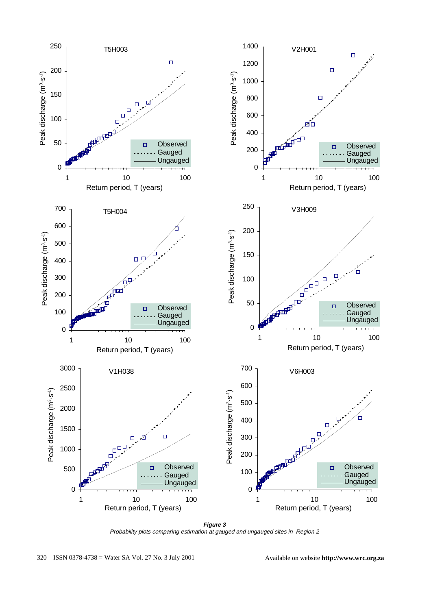

**Figure 3** Probability plots comparing estimation at gauged and ungauged sites in Region 2

320 ISSN 0378-4738 = Water SA Vol. 27 No. 3 July 2001 Available on website **http://www.wrc.org.za**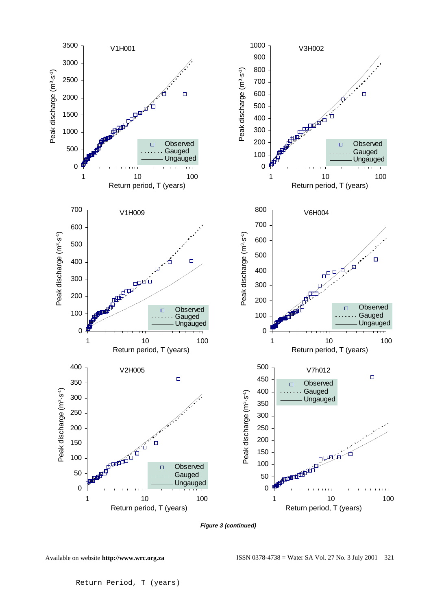

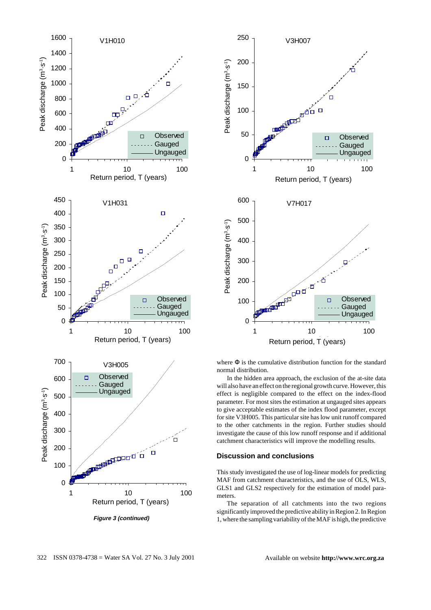





where Φ is the cumulative distribution function for the standard normal distribution.

In the hidden area approach, the exclusion of the at-site data will also have an effect on the regional growth curve. However, this effect is negligible compared to the effect on the index-flood parameter. For most sites the estimation at ungauged sites appears to give acceptable estimates of the index flood parameter, except for site V3H005. This particular site has low unit runoff compared to the other catchments in the region. Further studies should investigate the cause of this low runoff response and if additional catchment characteristics will improve the modelling results.

# **Discussion and conclusions**

This study investigated the use of log-linear models for predicting MAF from catchment characteristics, and the use of OLS, WLS, GLS1 and GLS2 respectively for the estimation of model parameters.

The separation of all catchments into the two regions significantly improved the predictive ability in Region 2. In Region 1, where the sampling variability of the MAF is high, the predictive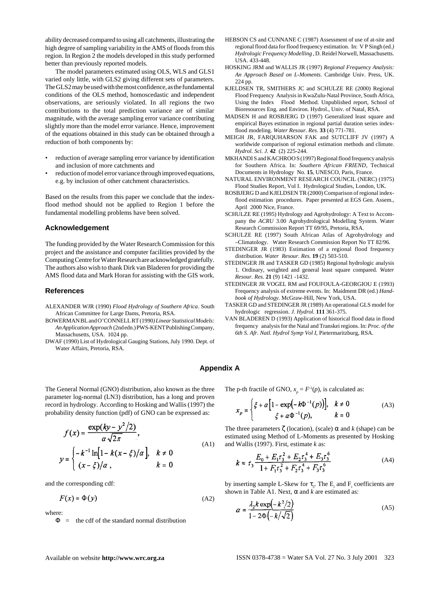ability decreased compared to using all catchments, illustrating the high degree of sampling variability in the AMS of floods from this region. In Region 2 the models developed in this study performed better than previously reported models.

The model parameters estimated using OLS, WLS and GLS1 varied only little, with GLS2 giving different sets of parameters. The GLS2 may be used with the most confidence, as the fundamental conditions of the OLS method, homoscedastic and independent observations, are seriously violated. In all regions the two contributions to the total prediction variance are of similar magnitude, with the average sampling error variance contributing slightly more than the model error variance. Hence, improvement of the equations obtained in this study can be obtained through a reduction of both components by:

- reduction of average sampling error variance by identification and inclusion of more catchments and
- reduction of model error variance through improved equations, e.g. by inclusion of other catchment characteristics.

Based on the results from this paper we conclude that the indexflood method should not be applied to Region 1 before the fundamental modelling problems have been solved.

#### **Acknowledgement**

The funding provided by the Water Research Commission for this project and the assistance and computer facilities provided by the Computing Centre for Water Research are acknowledged gratefully. The authors also wish to thank Dirk van Bladeren for providing the AMS flood data and Mark Horan for assisting with the GIS work.

#### **References**

- ALEXANDER WJR (1990) *Flood Hydrology of Southern Africa*. South African Committee for Large Dams, Pretoria, RSA.
- BOWERMAN BL and O'CONNELL RT (1990*) Linear Statistical Models: An Application Approach* (2nd edn.) PWS-KENT Publishing Company, Massachusetts, USA. 1024 pp.
- DWAF (1990) List of Hydrological Gauging Stations, July 1990. Dept. of Water Affairs, Pretoria, RSA.

HEBSON CS and CUNNANE C (1987) Assessment of use of at-site and regional flood data for flood frequency estimation. In: V P Singh (ed*.) Hydrologic Frequency Modelling* , D. Reidel Norwell, Massachusetts. USA. 433-448.

- HOSKING JRM and WALLIS JR (1997) *Regional Frequency Analysis: An Approach Based on L-Moments*. Cambridge Univ. Press, UK. 224 pp.
- KJELDSEN TR, SMITHERS JC and SCHULZE RE (2000) Regional Flood Frequency Analysis in KwaZulu-Natal Province, South Africa, Using the Index Flood Method. Unpublished report, School of Bioresources Eng. and Environ. Hydrol., Univ. of Natal, RSA.
- MADSEN H and ROSBJERG D (1997) Generalized least square and empirical Bayes estimation in regional partial duration series indexflood modeling. *Water Resour. Res.* **33** (4) 771-781.
- MEIGH JR, FARQUHARSON FAK and SUTCLIFF JV (1997) A worldwide comparison of regional estimation methods and climate. *Hydrol. Sci. J.* **42** (2) 225-244.
- MKHANDI S and KACHROO S (1997) Regional flood frequency analysis for Southern Africa. In: *Southern African FRIEND*, Technical Documents in Hydrology No. **15**, UNESCO, Paris, France.
- NATURAL ENVIRONMENT RESEARCH COUNCIL (NERC) (1975) Flood Studies Report*,* Vol I. Hydrological Studies, London, UK.
- ROSBJERG D and KJELDSEN TR (2000) Comparison of regional indexflood estimation procedures. Paper presented at EGS Gen. Assem., April 2000 Nice, France.
- SCHULZE RE (1995) Hydrology and Agrohydrology: A Text to Accompany the *ACRU* 3.00 Agrohydrological Modelling System. Water Research Commission Report TT 69/95, Pretoria, RSA.
- SCHULZE RE (1997) South African Atlas of Agrohydrology and –Climatology. Water Research Commission Report No TT 82/96.
- STEDINGER JR (1983) Estimation of a regional flood frequency distribution. *Water Resour. Res.* **19** (2) 503-510.
- STEDINGER JR and TASKER GD (1985) Regional hydrologic analysis 1. Ordinary, weighted and general least square compared. *Water Resour. Res.* **21** (9) 1421 -1432.
- STEDINGER JR VOGEL RM and FOUFOULA-GEORGIOU E (1993) Frequency analysis of extreme events. In: Maidment DR (ed.) *Handbook of Hydrology.* McGraw-Hill, New York, USA.
- TASKER GD and STEDINGER JR (1989) An operational GLS model for hydrologic regression. *J. Hydrol.* **111** 361-375.
- VAN BLADEREN D (1993) Application of historical flood data in flood frequency analysis for the Natal and Transkei regions. In: *Proc. of the 6th S. Afr. Natl. Hydrol Symp Vol I*, Pietermaritzburg, RSA.

# **Appendix A**

The General Normal (GNO) distribution, also known as the three parameter log-normal (LN3) distribution, has a long and proven record in hydrology. According to Hosking and Wallis (1997) the  $\boldsymbol{\chi}$ probability density function (pdf) of GNO can be expressed as:

$$
f(x) = \frac{\exp(ky - y^2/2)}{\alpha \sqrt{2\pi}},
$$
  
\n
$$
y = \begin{cases} -k^{-1} \ln[1 - k(x - \xi)/\alpha], & k \neq 0 \\ (x - \xi)/\alpha, & k = 0 \end{cases}
$$
 (A1)

and the corresponding cdf:

$$
F(x) = \Phi(y) \tag{A2}
$$

where:

 $\Phi$  = the cdf of the standard normal distribution

The p-th fractile of GNO,  $x_p = F^{-1}(p)$ , is calculated as:

$$
c_p = \begin{cases} \xi + \alpha \left[ 1 - \exp\left( -k\Phi^{-1}(p) \right) \right], & k \neq 0 \\ \xi + \alpha \Phi^{-1}(p), & k = 0 \end{cases}
$$
 (A3)

The three parameters ζ (location), (scale)  $\alpha$  and *k* (shape) can be estimated using Method of L-Moments as presented by Hosking and Wallis (1997). First, estimate *k* as:

$$
k \approx \tau_3 \frac{E_0 + E_1 \tau_3^2 + E_2 \tau_3^4 + E_3 \tau_3^6}{1 + F_1 \tau_3^2 + F_2 \tau_3^4 + F_3 \tau_3^6}
$$
 (A4)

by inserting sample L-Skew for  $\tau_3$ . The  $E_i$  and  $F_i$  coefficients are shown in Table A1. Next,  $\alpha$  and  $\bar{k}$  are estimated as:

$$
\alpha = \frac{\lambda_2 k \exp\left(-\frac{k^2}{2}\right)}{1 - 2\Phi\left(-\frac{k}{\sqrt{2}}\right)}\tag{A5}
$$